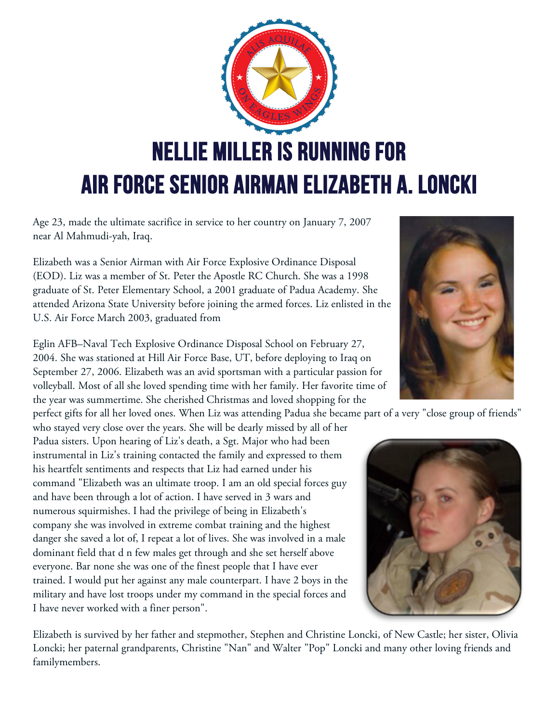

Age 23, made the ultimate sacrifice in service to her country on January 7, 2007 near Al Mahmudi-yah, Iraq.

Elizabeth was a Senior Airman with Air Force Explosive Ordinance Disposal (EOD). Liz was a member of St. Peter the Apostle RC Church. She was a 1998 graduate of St. Peter Elementary School, a 2001 graduate of Padua Academy. She attended Arizona State University before joining the armed forces. Liz enlisted in the U.S. Air Force March 2003, graduated from

Eglin AFB–Naval Tech Explosive Ordinance Disposal School on February 27, 2004. She was stationed at Hill Air Force Base, UT, before deploying to Iraq on September 27, 2006. Elizabeth was an avid sportsman with a particular passion for volleyball. Most of all she loved spending time with her family. Her favorite time of the year was summertime. She cherished Christmas and loved shopping for the

perfect gifts for all her loved ones. When Liz was attending Padua she became part of a very "close group of friends"

who stayed very close over the years. She will be dearly missed by all of her Padua sisters. Upon hearing of Liz's death, a Sgt. Major who had been instrumental in Liz's training contacted the family and expressed to them his heartfelt sentiments and respects that Liz had earned under his command "Elizabeth was an ultimate troop. I am an old special forces guy and have been through a lot of action. I have served in 3 wars and numerous squirmishes. I had the privilege of being in Elizabeth's company she was involved in extreme combat training and the highest danger she saved a lot of, I repeat a lot of lives. She was involved in a male dominant field that d n few males get through and she set herself above everyone. Bar none she was one of the finest people that I have ever trained. I would put her against any male counterpart. I have 2 boys in the military and have lost troops under my command in the special forces and I have never worked with a finer person".

Elizabeth is survived by her father and stepmother, Stephen and Christine Loncki, of New Castle; her sister, Olivia Loncki; her paternal grandparents, Christine "Nan" and Walter "Pop" Loncki and many other loving friends and familymembers.



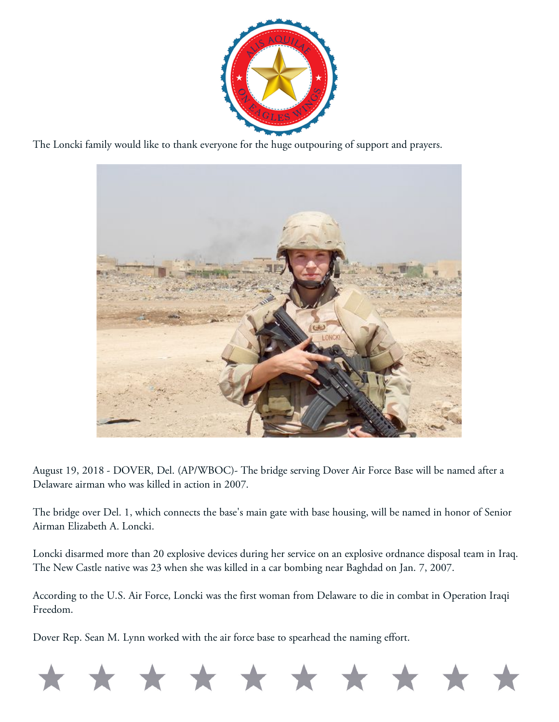

The Loncki family would like to thank everyone for the huge outpouring of support and prayers.



August 19, 2018 - DOVER, Del. (AP/WBOC)- The bridge serving Dover Air Force Base will be named after a Delaware airman who was killed in action in 2007.

The bridge over Del. 1, which connects the base's main gate with base housing, will be named in honor of Senior Airman Elizabeth A. Loncki.

Loncki disarmed more than 20 explosive devices during her service on an explosive ordnance disposal team in Iraq. The New Castle native was 23 when she was killed in a car bombing near Baghdad on Jan. 7, 2007.

According to the U.S. Air Force, Loncki was the first woman from Delaware to die in combat in Operation Iraqi Freedom.

Dover Rep. Sean M. Lynn worked with the air force base to spearhead the naming effort.